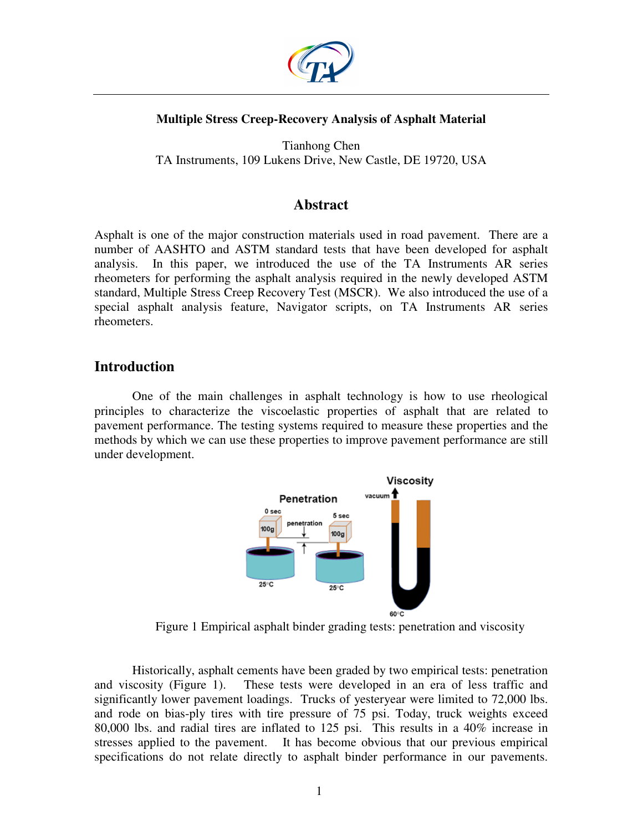

### **Multiple Stress Creep-Recovery Analysis of Asphalt Material**

Tianhong Chen TA Instruments, 109 Lukens Drive, New Castle, DE 19720, USA

# **Abstract**

Asphalt is one of the major construction materials used in road pavement. There are a number of AASHTO and ASTM standard tests that have been developed for asphalt analysis. In this paper, we introduced the use of the TA Instruments AR series rheometers for performing the asphalt analysis required in the newly developed ASTM standard, Multiple Stress Creep Recovery Test (MSCR). We also introduced the use of a special asphalt analysis feature, Navigator scripts, on TA Instruments AR series rheometers.

# **Introduction**

One of the main challenges in asphalt technology is how to use rheological principles to characterize the viscoelastic properties of asphalt that are related to pavement performance. The testing systems required to measure these properties and the methods by which we can use these properties to improve pavement performance are still under development.



Figure 1 Empirical asphalt binder grading tests: penetration and viscosity

Historically, asphalt cements have been graded by two empirical tests: penetration and viscosity (Figure 1). These tests were developed in an era of less traffic and significantly lower pavement loadings. Trucks of yesteryear were limited to 72,000 lbs. and rode on bias-ply tires with tire pressure of 75 psi. Today, truck weights exceed 80,000 lbs. and radial tires are inflated to 125 psi. This results in a 40% increase in stresses applied to the pavement. It has become obvious that our previous empirical specifications do not relate directly to asphalt binder performance in our pavements.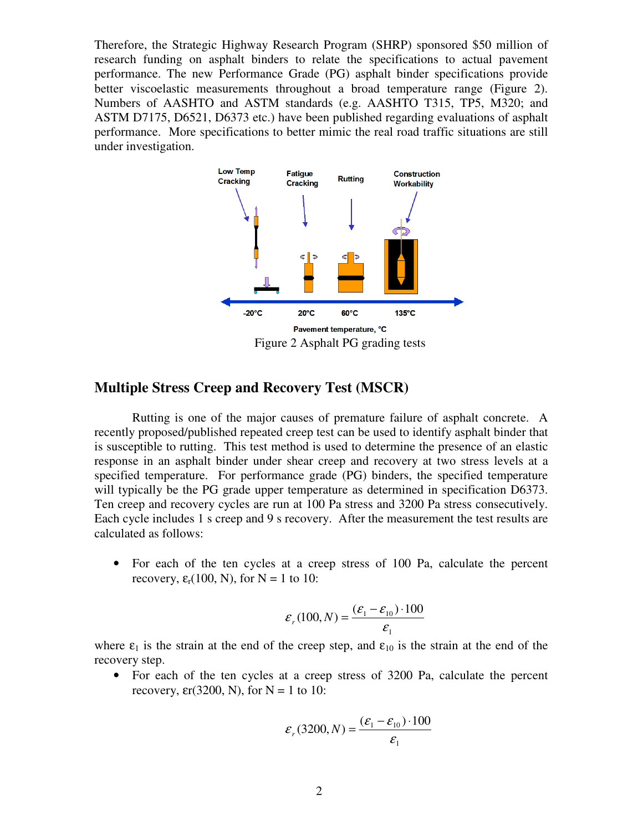Therefore, the Strategic Highway Research Program (SHRP) sponsored \$50 million of research funding on asphalt binders to relate the specifications to actual pavement performance. The new Performance Grade (PG) asphalt binder specifications provide better viscoelastic measurements throughout a broad temperature range (Figure 2). Numbers of AASHTO and ASTM standards (e.g. AASHTO T315, TP5, M320; and ASTM D7175, D6521, D6373 etc.) have been published regarding evaluations of asphalt performance. More specifications to better mimic the real road traffic situations are still under investigation.



Figure 2 Asphalt PG grading tests

# **Multiple Stress Creep and Recovery Test (MSCR)**

Rutting is one of the major causes of premature failure of asphalt concrete. A recently proposed/published repeated creep test can be used to identify asphalt binder that is susceptible to rutting. This test method is used to determine the presence of an elastic response in an asphalt binder under shear creep and recovery at two stress levels at a specified temperature. For performance grade (PG) binders, the specified temperature will typically be the PG grade upper temperature as determined in specification D6373. Ten creep and recovery cycles are run at 100 Pa stress and 3200 Pa stress consecutively. Each cycle includes 1 s creep and 9 s recovery. After the measurement the test results are calculated as follows:

• For each of the ten cycles at a creep stress of 100 Pa, calculate the percent recovery,  $\varepsilon_r(100, N)$ , for  $N = 1$  to 10:

$$
\varepsilon_r(100, N) = \frac{(\varepsilon_1 - \varepsilon_{10}) \cdot 100}{\varepsilon_1}
$$

where  $\varepsilon_1$  is the strain at the end of the creep step, and  $\varepsilon_{10}$  is the strain at the end of the recovery step.

• For each of the ten cycles at a creep stress of 3200 Pa, calculate the percent recovery,  $\epsilon r(3200, N)$ , for  $N = 1$  to 10:

$$
\varepsilon_r(3200, N) = \frac{(\varepsilon_1 - \varepsilon_{10}) \cdot 100}{\varepsilon_1}
$$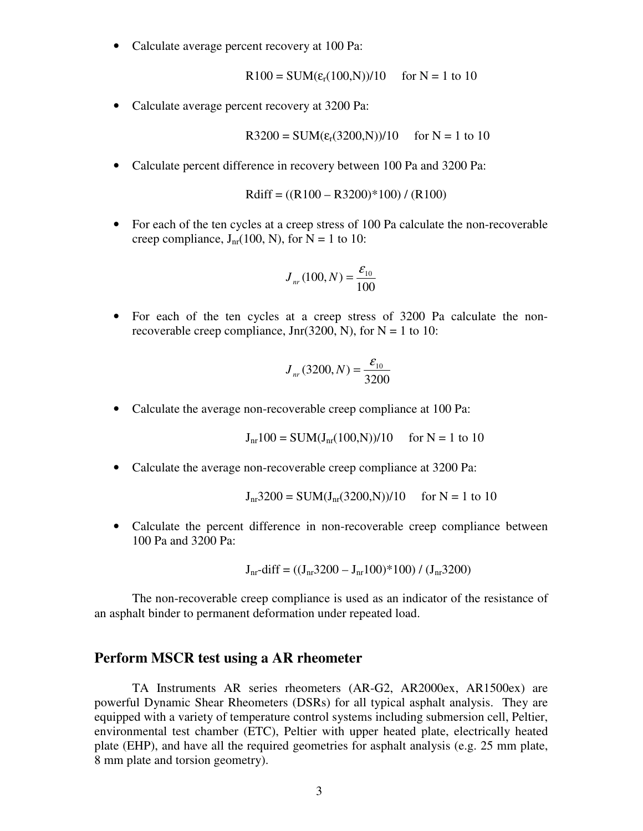• Calculate average percent recovery at 100 Pa:

 $R100 = SUM(\varepsilon_r(100,N))/10$  for N = 1 to 10

• Calculate average percent recovery at 3200 Pa:

$$
R3200 = SUM(\varepsilon_r(3200,N))/10
$$
 for N = 1 to 10

• Calculate percent difference in recovery between 100 Pa and 3200 Pa:

$$
Rdiff = ((R100 - R3200) * 100) / (R100)
$$

• For each of the ten cycles at a creep stress of 100 Pa calculate the non-recoverable creep compliance,  $J_{nr}(100, N)$ , for  $N = 1$  to 10:

$$
J_{nr}(100, N) = \frac{\mathcal{E}_{10}}{100}
$$

• For each of the ten cycles at a creep stress of 3200 Pa calculate the nonrecoverable creep compliance, Jnr(3200, N), for  $N = 1$  to 10:

$$
J_{nr}(3200, N) = \frac{\varepsilon_{10}}{3200}
$$

• Calculate the average non-recoverable creep compliance at 100 Pa:

$$
J_{nr}100 = SUM(J_{nr}(100,N))/10
$$
 for N = 1 to 10

• Calculate the average non-recoverable creep compliance at 3200 Pa:

$$
J_{nr}3200 = SUM(J_{nr}(3200,N))/10 \quad \text{for } N = 1 \text{ to } 10
$$

• Calculate the percent difference in non-recoverable creep compliance between 100 Pa and 3200 Pa:

$$
J_{nr} - diff = ((J_{nr} 3200 - J_{nr} 100)^* 100) / (J_{nr} 3200)
$$

The non-recoverable creep compliance is used as an indicator of the resistance of an asphalt binder to permanent deformation under repeated load.

## **Perform MSCR test using a AR rheometer**

TA Instruments AR series rheometers (AR-G2, AR2000ex, AR1500ex) are powerful Dynamic Shear Rheometers (DSRs) for all typical asphalt analysis. They are equipped with a variety of temperature control systems including submersion cell, Peltier, environmental test chamber (ETC), Peltier with upper heated plate, electrically heated plate (EHP), and have all the required geometries for asphalt analysis (e.g. 25 mm plate, 8 mm plate and torsion geometry).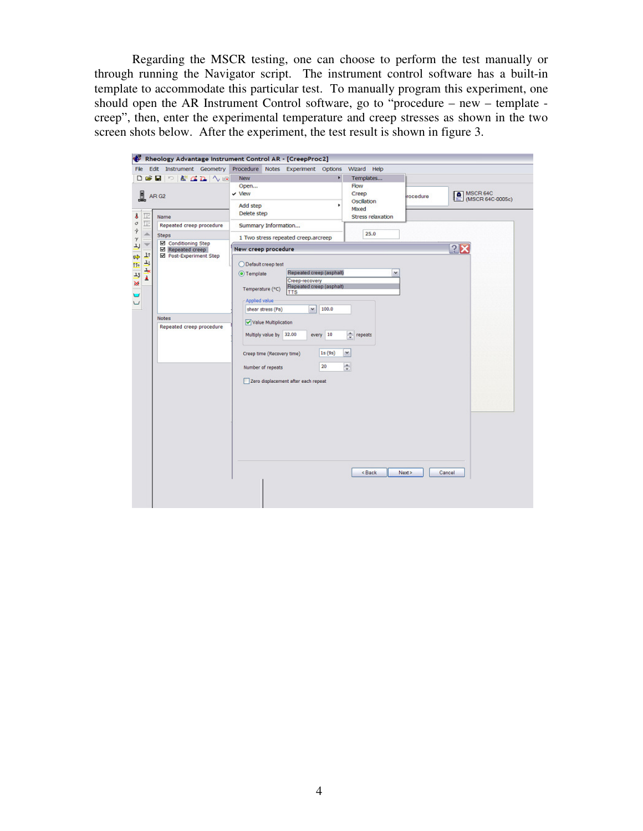Regarding the MSCR testing, one can choose to perform the test manually or through running the Navigator script. The instrument control software has a built-in template to accommodate this particular test. To manually program this experiment, one should open the AR Instrument Control software, go to "procedure – new – template creep", then, enter the experimental temperature and creep stresses as shown in the two screen shots below. After the experiment, the test result is shown in figure 3.

| Edit Instrument Geometry<br>File                                                                                                                                                                                                                                              | Procedure Notes Experiment Options                                                                                                                              | Wizard Help                                            |          |                             |  |  |
|-------------------------------------------------------------------------------------------------------------------------------------------------------------------------------------------------------------------------------------------------------------------------------|-----------------------------------------------------------------------------------------------------------------------------------------------------------------|--------------------------------------------------------|----------|-----------------------------|--|--|
|                                                                                                                                                                                                                                                                               | ×<br><b>New</b>                                                                                                                                                 | Templates                                              |          |                             |  |  |
| L<br>AR <sub>G2</sub><br>卫<br>$\begin{array}{c}\n\bullet \\ \circ \\ \circ \\ \to\n\end{array}$<br>Name<br>亚<br>Repeated creep procedure<br>$\frac{1}{x}$<br><b>Steps</b><br>Conditioning Step<br>Repeated creep<br>126<br>上上层<br>Post-Experiment Step<br>If®<br>13<br>Ä<br>× | Open<br>$\checkmark$ View                                                                                                                                       | Flow<br>Creep<br><b>Oscillation</b>                    | rocedure | MSCR 64C<br>MSCR 64C-0005c) |  |  |
|                                                                                                                                                                                                                                                                               | Add step<br>Delete step                                                                                                                                         | Mixed<br>Stress relaxation                             |          |                             |  |  |
|                                                                                                                                                                                                                                                                               | Summary Information                                                                                                                                             | 25.0                                                   |          |                             |  |  |
|                                                                                                                                                                                                                                                                               | 1 Two stress repeated creep.arcreep                                                                                                                             |                                                        |          |                             |  |  |
|                                                                                                                                                                                                                                                                               | 78<br>New creep procedure                                                                                                                                       |                                                        |          |                             |  |  |
|                                                                                                                                                                                                                                                                               | O Default creep test<br>Repeated creep (asphalt)<br>O Template<br>Creep-recovery<br>Repeated creep (asphalt)<br>Temperature (°C)<br><b>TTS</b><br>Applied value | $\checkmark$                                           |          |                             |  |  |
|                                                                                                                                                                                                                                                                               | 100.0<br>shear stress (Pa)<br>٧                                                                                                                                 |                                                        |          |                             |  |  |
| <b>Notes</b><br>Repeated creep procedure                                                                                                                                                                                                                                      | Value Multiplication<br>Multiply value by 32.00<br>every 10                                                                                                     | repeats                                                |          |                             |  |  |
|                                                                                                                                                                                                                                                                               | $\check{}$<br>15(95)<br>Creep time (Recovery time)                                                                                                              |                                                        |          |                             |  |  |
|                                                                                                                                                                                                                                                                               | ÷<br>20<br>Number of repeats                                                                                                                                    |                                                        |          |                             |  |  |
|                                                                                                                                                                                                                                                                               | Zero displacement after each repeat                                                                                                                             |                                                        |          |                             |  |  |
|                                                                                                                                                                                                                                                                               |                                                                                                                                                                 |                                                        |          |                             |  |  |
|                                                                                                                                                                                                                                                                               |                                                                                                                                                                 |                                                        |          |                             |  |  |
|                                                                                                                                                                                                                                                                               |                                                                                                                                                                 |                                                        |          |                             |  |  |
|                                                                                                                                                                                                                                                                               |                                                                                                                                                                 |                                                        |          |                             |  |  |
|                                                                                                                                                                                                                                                                               |                                                                                                                                                                 |                                                        |          |                             |  |  |
|                                                                                                                                                                                                                                                                               |                                                                                                                                                                 |                                                        |          |                             |  |  |
|                                                                                                                                                                                                                                                                               |                                                                                                                                                                 |                                                        |          |                             |  |  |
|                                                                                                                                                                                                                                                                               |                                                                                                                                                                 | <back< td=""><td>Next &gt;</td><td>Cancel</td></back<> | Next >   | Cancel                      |  |  |
|                                                                                                                                                                                                                                                                               |                                                                                                                                                                 |                                                        |          |                             |  |  |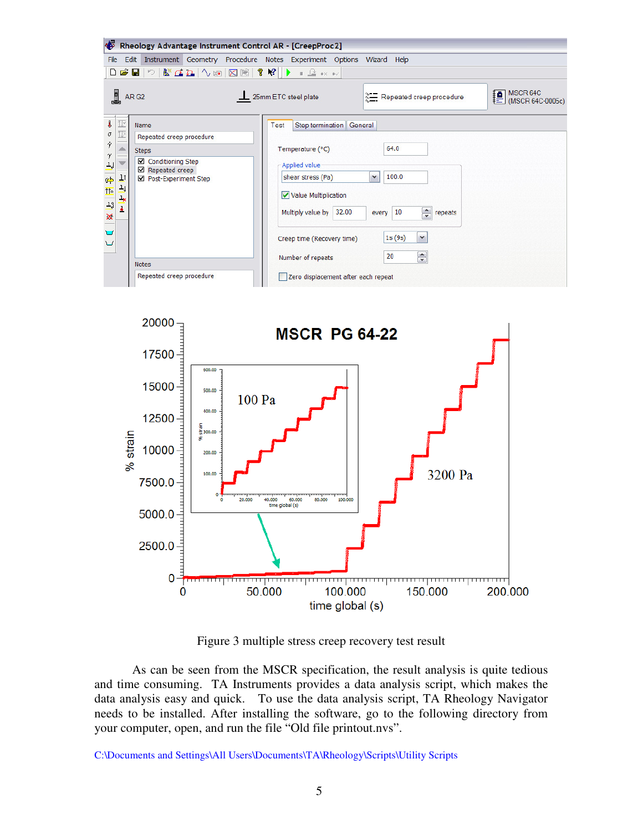

Figure 3 multiple stress creep recovery test result

80.000

100.00

100.000

time global (s)

<del>ming an amprovemperature and an amprove</del>

150.000

200.000

As can be seen from the MSCR specification, the result analysis is quite tedious and time consuming. TA Instruments provides a data analysis script, which makes the data analysis easy and quick. To use the data analysis script, TA Rheology Navigator needs to be installed. After installing the software, go to the following directory from your computer, open, and run the file "Old file printout.nvs".

C:\Documents and Settings\All Users\Documents\TA\Rheology\Scripts\Utility Scripts

20.000

5000.0

2500.0

0

0

40.000 60.000<br>time global (s)

50.000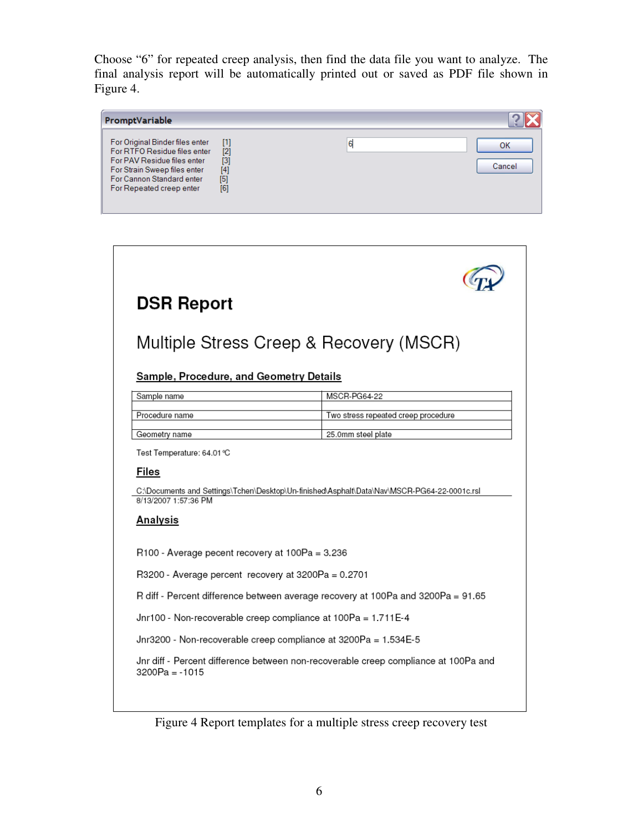Choose "6" for repeated creep analysis, then find the data file you want to analyze. The final analysis report will be automatically printed out or saved as PDF file shown in Figure 4.

| PromptVariable                                                                                                                                                                          |                                                           |   |              |
|-----------------------------------------------------------------------------------------------------------------------------------------------------------------------------------------|-----------------------------------------------------------|---|--------------|
| For Original Binder files enter<br>For RTFO Residue files enter<br>For PAV Residue files enter<br>For Strain Sweep files enter<br>For Cannon Standard enter<br>For Repeated creep enter | $[1]$<br>$[2]$<br>$\overline{[3]}$<br>[4]<br>$[5]$<br>[6] | 6 | OК<br>Cancel |



Figure 4 Report templates for a multiple stress creep recovery test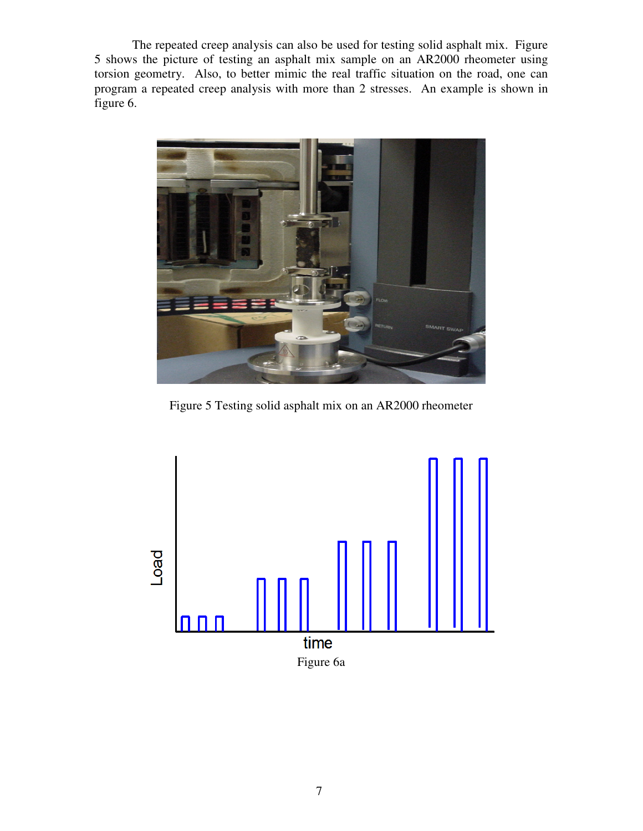The repeated creep analysis can also be used for testing solid asphalt mix. Figure 5 shows the picture of testing an asphalt mix sample on an AR2000 rheometer using torsion geometry. Also, to better mimic the real traffic situation on the road, one can program a repeated creep analysis with more than 2 stresses. An example is shown in figure 6.



Figure 5 Testing solid asphalt mix on an AR2000 rheometer

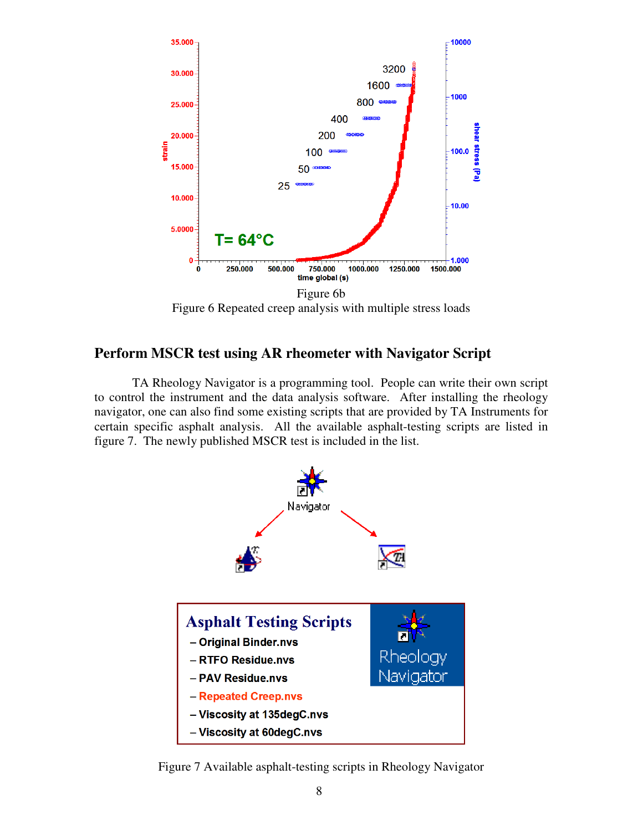

Figure 6 Repeated creep analysis with multiple stress loads

# **Perform MSCR test using AR rheometer with Navigator Script**

TA Rheology Navigator is a programming tool. People can write their own script to control the instrument and the data analysis software. After installing the rheology navigator, one can also find some existing scripts that are provided by TA Instruments for certain specific asphalt analysis. All the available asphalt-testing scripts are listed in figure 7. The newly published MSCR test is included in the list.



Figure 7 Available asphalt-testing scripts in Rheology Navigator